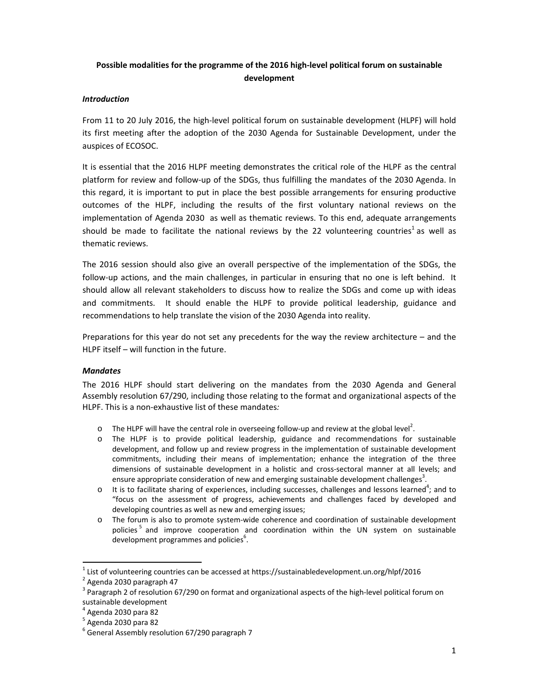# **Possible modalities for the programme of the 2016 high‐level political forum on sustainable development**

#### *Introduction*

From 11 to 20 July 2016, the high-level political forum on sustainable development (HLPF) will hold its first meeting after the adoption of the 2030 Agenda for Sustainable Development, under the auspices of ECOSOC.

It is essential that the 2016 HLPF meeting demonstrates the critical role of the HLPF as the central platform for review and follow‐up of the SDGs, thus fulfilling the mandates of the 2030 Agenda. In this regard, it is important to put in place the best possible arrangements for ensuring productive outcomes of the HLPF, including the results of the first voluntary national reviews on the implementation of Agenda 2030 as well as thematic reviews. To this end, adequate arrangements should be made to facilitate the national reviews by the 22 volunteering countries<sup>1</sup> as well as thematic reviews.

The 2016 session should also give an overall perspective of the implementation of the SDGs, the follow‐up actions, and the main challenges, in particular in ensuring that no one is left behind. It should allow all relevant stakeholders to discuss how to realize the SDGs and come up with ideas and commitments. It should enable the HLPF to provide political leadership, guidance and recommendations to help translate the vision of the 2030 Agenda into reality.

Preparations for this year do not set any precedents for the way the review architecture – and the HLPF itself – will function in the future.

## *Mandates*

The 2016 HLPF should start delivering on the mandates from the 2030 Agenda and General Assembly resolution 67/290, including those relating to the format and organizational aspects of the HLPF. This is a non‐exhaustive list of these mandates*:*

- $\circ$  The HLPF will have the central role in overseeing follow-up and review at the global level<sup>2</sup>.
- o The HLPF is to provide political leadership, guidance and recommendations for sustainable development, and follow up and review progress in the implementation of sustainable development commitments, including their means of implementation; enhance the integration of the three dimensions of sustainable development in a holistic and cross‐sectoral manner at all levels; and ensure appropriate consideration of new and emerging sustainable development challenges<sup>3</sup>.
- $\circ$  It is to facilitate sharing of experiences, including successes, challenges and lessons learned<sup>4</sup>; and to "focus on the assessment of progress, achievements and challenges faced by developed and developing countries as well as new and emerging issues;
- o The forum is also to promote system‐wide coherence and coordination of sustainable development policies<sup>5</sup> and improve cooperation and coordination within the UN system on sustainable development programmes and policies<sup>6</sup>.

<sup>&</sup>lt;sup>1</sup> List of volunteering countries can be accessed at https://sustainabledevelopment.un.org/hlpf/2016<br><sup>2</sup> Agenda 2030 paragraph 47<br><sup>3</sup> Paragraph 2 of resolution 67/290 on format and organizational aspects of the high-leve

sustainable development<br>  $^4$  Agenda 2030 para 82<br>  $^5$  Agenda 2030 para 82<br>  $^6$  General Assembly resolution 67/290 paragraph 7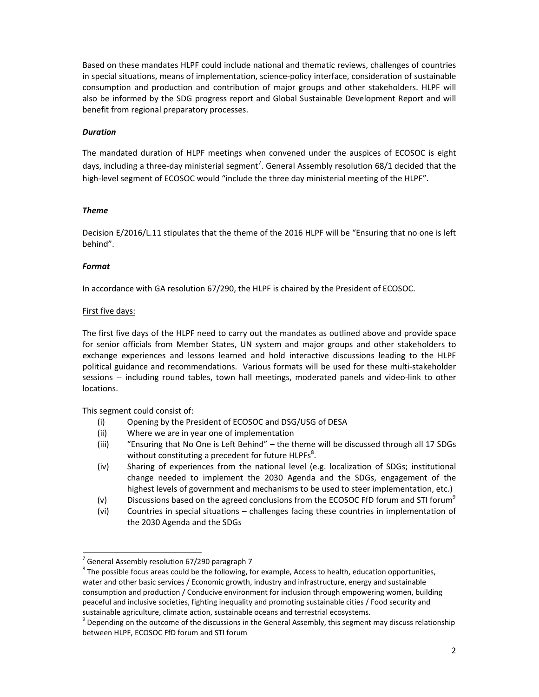Based on these mandates HLPF could include national and thematic reviews, challenges of countries in special situations, means of implementation, science‐policy interface, consideration of sustainable consumption and production and contribution of major groups and other stakeholders. HLPF will also be informed by the SDG progress report and Global Sustainable Development Report and will benefit from regional preparatory processes.

#### *Duration*

The mandated duration of HLPF meetings when convened under the auspices of ECOSOC is eight days, including a three-day ministerial segment<sup>7</sup>. General Assembly resolution 68/1 decided that the high-level segment of ECOSOC would "include the three day ministerial meeting of the HLPF".

### *Theme*

Decision E/2016/L.11 stipulates that the theme of the 2016 HLPF will be "Ensuring that no one is left behind".

### *Format*

In accordance with GA resolution 67/290, the HLPF is chaired by the President of ECOSOC.

### First five days:

The first five days of the HLPF need to carry out the mandates as outlined above and provide space for senior officials from Member States, UN system and major groups and other stakeholders to exchange experiences and lessons learned and hold interactive discussions leading to the HLPF political guidance and recommendations. Various formats will be used for these multi‐stakeholder sessions -- including round tables, town hall meetings, moderated panels and video-link to other locations.

This segment could consist of:

- (i) Opening by the President of ECOSOC and DSG/USG of DESA
- (ii) Where we are in year one of implementation
- (iii) "Ensuring that No One is Left Behind" the theme will be discussed through all 17 SDGs without constituting a precedent for future HLPFs<sup>8</sup>.
- (iv) Sharing of experiences from the national level (e.g. localization of SDGs; institutional change needed to implement the 2030 Agenda and the SDGs, engagement of the highest levels of government and mechanisms to be used to steer implementation, etc.)
- (v) Discussions based on the agreed conclusions from the ECOSOC FfD forum and STI forum<sup>9</sup>
- (vi) Countries in special situations challenges facing these countries in implementation of the 2030 Agenda and the SDGs

<sup>&</sup>lt;sup>7</sup> General Assembly resolution 67/290 paragraph 7<br><sup>8</sup> The possible focus areas could be the following, for example, Access to health, education opportunities, water and other basic services / Economic growth, industry and infrastructure, energy and sustainable consumption and production / Conducive environment for inclusion through empowering women, building peaceful and inclusive societies, fighting inequality and promoting sustainable cities / Food security and

sustainable agriculture, climate action, sustainable oceans and terrestrial ecosystems.<br><sup>9</sup> Depending on the outcome of the discussions in the General Assembly, this segment may discuss relationship between HLPF, ECOSOC FfD forum and STI forum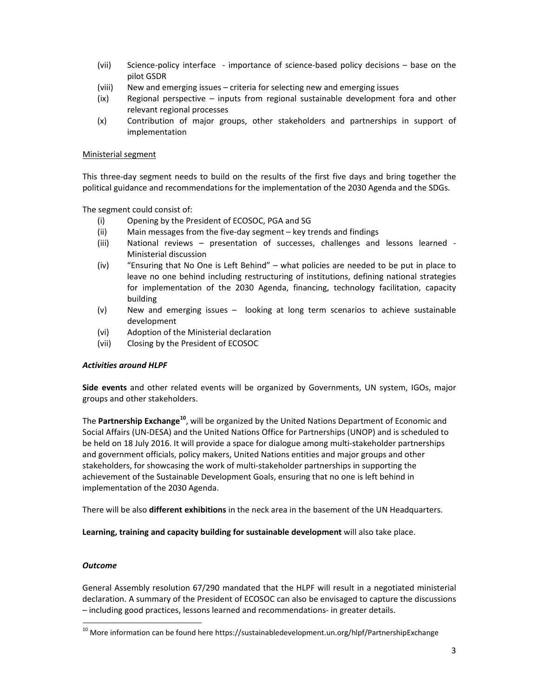- (vii) Science-policy interface importance of science-based policy decisions base on the pilot GSDR
- (viii) New and emerging issues criteria for selecting new and emerging issues
- (ix) Regional perspective inputs from regional sustainable development fora and other relevant regional processes
- (x) Contribution of major groups, other stakeholders and partnerships in support of implementation

#### Ministerial segment

This three‐day segment needs to build on the results of the first five days and bring together the political guidance and recommendations for the implementation of the 2030 Agenda and the SDGs.

The segment could consist of:

- (i) Opening by the President of ECOSOC, PGA and SG
- (ii) Main messages from the five‐day segment key trends and findings
- (iii) National reviews presentation of successes, challenges and lessons learned ‐ Ministerial discussion
- (iv) "Ensuring that No One is Left Behind" what policies are needed to be put in place to leave no one behind including restructuring of institutions, defining national strategies for implementation of the 2030 Agenda, financing, technology facilitation, capacity building
- (v) New and emerging issues looking at long term scenarios to achieve sustainable development
- (vi) Adoption of the Ministerial declaration
- (vii) Closing by the President of ECOSOC

#### *Activities around HLPF*

**Side events** and other related events will be organized by Governments, UN system, IGOs, major groups and other stakeholders.

The **Partnership Exchange<sup>10</sup>**, will be organized by the United Nations Department of Economic and Social Affairs (UN‐DESA) and the United Nations Office for Partnerships (UNOP) and is scheduled to be held on 18 July 2016. It will provide a space for dialogue among multi-stakeholder partnerships and government officials, policy makers, United Nations entities and major groups and other stakeholders, for showcasing the work of multi‐stakeholder partnerships in supporting the achievement of the Sustainable Development Goals, ensuring that no one is left behind in implementation of the 2030 Agenda.

There will be also **different exhibitions** in the neck area in the basement of the UN Headquarters.

**Learning, training and capacity building for sustainable development** will also take place.

#### *Outcome*

General Assembly resolution 67/290 mandated that the HLPF will result in a negotiated ministerial declaration. A summary of the President of ECOSOC can also be envisaged to capture the discussions – including good practices, lessons learned and recommendations‐ in greater details.

<sup>&</sup>lt;sup>10</sup> More information can be found here https://sustainabledevelopment.un.org/hlpf/PartnershipExchange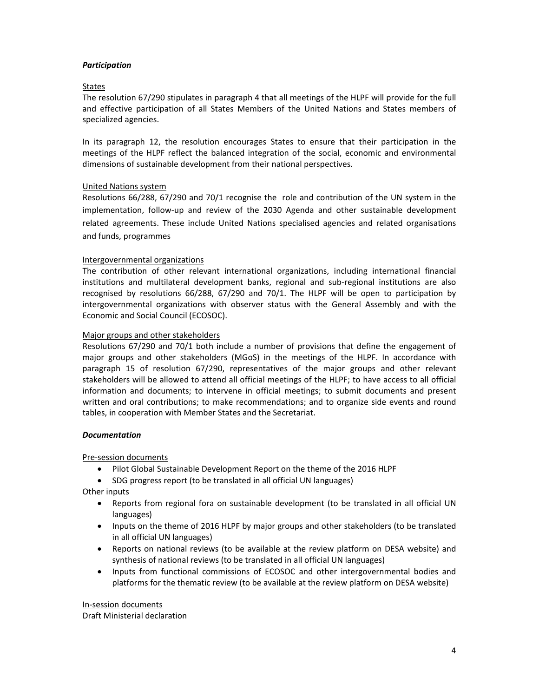### *Participation*

#### States

The resolution 67/290 stipulates in paragraph 4 that all meetings of the HLPF will provide for the full and effective participation of all States Members of the United Nations and States members of specialized agencies.

In its paragraph 12, the resolution encourages States to ensure that their participation in the meetings of the HLPF reflect the balanced integration of the social, economic and environmental dimensions of sustainable development from their national perspectives.

### United Nations system

Resolutions 66/288, 67/290 and 70/1 recognise the role and contribution of the UN system in the implementation, follow-up and review of the 2030 Agenda and other sustainable development related agreements. These include United Nations specialised agencies and related organisations and funds, programmes

### Intergovernmental organizations

The contribution of other relevant international organizations, including international financial institutions and multilateral development banks, regional and sub-regional institutions are also recognised by resolutions 66/288, 67/290 and 70/1. The HLPF will be open to participation by intergovernmental organizations with observer status with the General Assembly and with the Economic and Social Council (ECOSOC).

#### Major groups and other stakeholders

Resolutions 67/290 and 70/1 both include a number of provisions that define the engagement of major groups and other stakeholders (MGoS) in the meetings of the HLPF. In accordance with paragraph 15 of resolution 67/290, representatives of the major groups and other relevant stakeholders will be allowed to attend all official meetings of the HLPF; to have access to all official information and documents; to intervene in official meetings; to submit documents and present written and oral contributions; to make recommendations; and to organize side events and round tables, in cooperation with Member States and the Secretariat.

#### *Documentation*

#### Pre‐session documents

- Pilot Global Sustainable Development Report on the theme of the 2016 HLPF
- SDG progress report (to be translated in all official UN languages)

Other inputs

- Reports from regional fora on sustainable development (to be translated in all official UN languages)
- Inputs on the theme of 2016 HLPF by major groups and other stakeholders (to be translated in all official UN languages)
- Reports on national reviews (to be available at the review platform on DESA website) and synthesis of national reviews (to be translated in all official UN languages)
- Inputs from functional commissions of ECOSOC and other intergovernmental bodies and platforms for the thematic review (to be available at the review platform on DESA website)

In‐session documents Draft Ministerial declaration